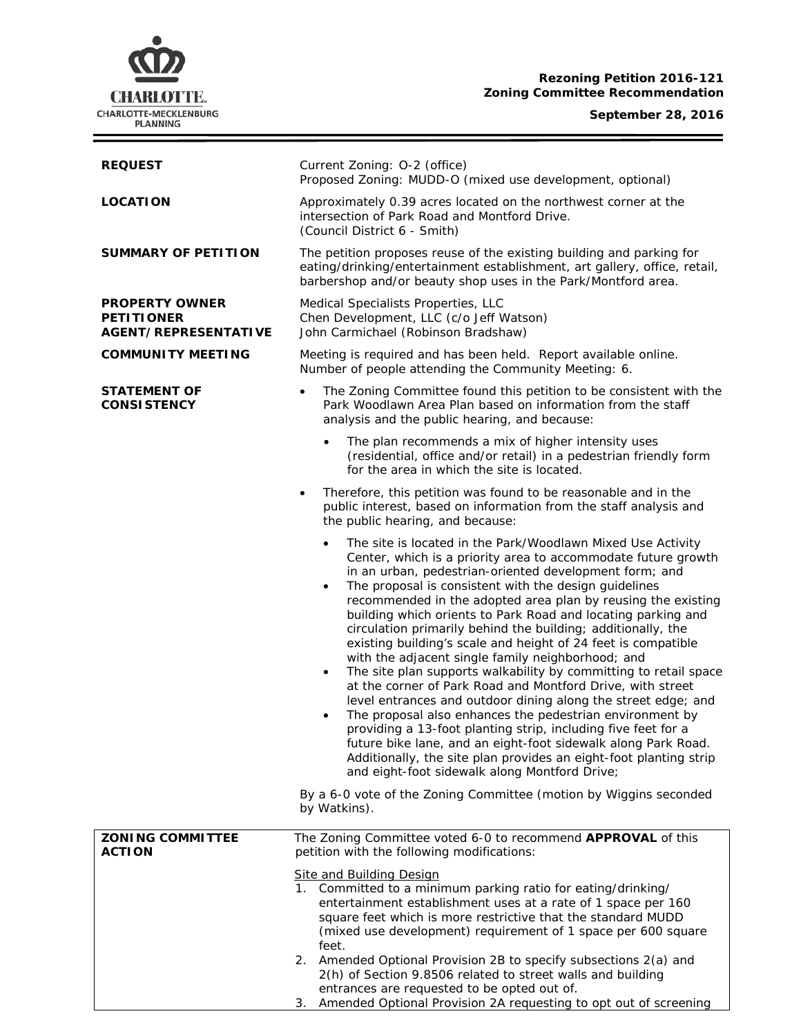# **CHARLOTTE.** CHARLOTTE-MECKLENBURG<br>PLANNING

## **Rezoning Petition 2016-121 Zoning Committee Recommendation**

## **September 28, 2016**

 $\equiv$ 

| <b>REQUEST</b>                                                            | Current Zoning: O-2 (office)<br>Proposed Zoning: MUDD-O (mixed use development, optional)                                                                                                                                                                                                                                                                                                                                                                                                                                                                                                                                                                                                                                                                                                                                                                                                                                                                                                                                                                                                                                                        |  |  |
|---------------------------------------------------------------------------|--------------------------------------------------------------------------------------------------------------------------------------------------------------------------------------------------------------------------------------------------------------------------------------------------------------------------------------------------------------------------------------------------------------------------------------------------------------------------------------------------------------------------------------------------------------------------------------------------------------------------------------------------------------------------------------------------------------------------------------------------------------------------------------------------------------------------------------------------------------------------------------------------------------------------------------------------------------------------------------------------------------------------------------------------------------------------------------------------------------------------------------------------|--|--|
| <b>LOCATION</b>                                                           | Approximately 0.39 acres located on the northwest corner at the<br>intersection of Park Road and Montford Drive.<br>(Council District 6 - Smith)                                                                                                                                                                                                                                                                                                                                                                                                                                                                                                                                                                                                                                                                                                                                                                                                                                                                                                                                                                                                 |  |  |
| <b>SUMMARY OF PETITION</b>                                                | The petition proposes reuse of the existing building and parking for<br>eating/drinking/entertainment establishment, art gallery, office, retail,<br>barbershop and/or beauty shop uses in the Park/Montford area.                                                                                                                                                                                                                                                                                                                                                                                                                                                                                                                                                                                                                                                                                                                                                                                                                                                                                                                               |  |  |
| <b>PROPERTY OWNER</b><br><b>PETITIONER</b><br><b>AGENT/REPRESENTATIVE</b> | Medical Specialists Properties, LLC<br>Chen Development, LLC (c/o Jeff Watson)<br>John Carmichael (Robinson Bradshaw)                                                                                                                                                                                                                                                                                                                                                                                                                                                                                                                                                                                                                                                                                                                                                                                                                                                                                                                                                                                                                            |  |  |
| <b>COMMUNITY MEETING</b>                                                  | Meeting is required and has been held. Report available online.<br>Number of people attending the Community Meeting: 6.                                                                                                                                                                                                                                                                                                                                                                                                                                                                                                                                                                                                                                                                                                                                                                                                                                                                                                                                                                                                                          |  |  |
| <b>STATEMENT OF</b><br><b>CONSISTENCY</b>                                 | The Zoning Committee found this petition to be consistent with the<br>$\bullet$<br>Park Woodlawn Area Plan based on information from the staff<br>analysis and the public hearing, and because:                                                                                                                                                                                                                                                                                                                                                                                                                                                                                                                                                                                                                                                                                                                                                                                                                                                                                                                                                  |  |  |
|                                                                           | The plan recommends a mix of higher intensity uses<br>(residential, office and/or retail) in a pedestrian friendly form<br>for the area in which the site is located.                                                                                                                                                                                                                                                                                                                                                                                                                                                                                                                                                                                                                                                                                                                                                                                                                                                                                                                                                                            |  |  |
|                                                                           | Therefore, this petition was found to be reasonable and in the<br>$\bullet$<br>public interest, based on information from the staff analysis and<br>the public hearing, and because:                                                                                                                                                                                                                                                                                                                                                                                                                                                                                                                                                                                                                                                                                                                                                                                                                                                                                                                                                             |  |  |
|                                                                           | The site is located in the Park/Woodlawn Mixed Use Activity<br>$\bullet$<br>Center, which is a priority area to accommodate future growth<br>in an urban, pedestrian-oriented development form; and<br>The proposal is consistent with the design guidelines<br>$\bullet$<br>recommended in the adopted area plan by reusing the existing<br>building which orients to Park Road and locating parking and<br>circulation primarily behind the building; additionally, the<br>existing building's scale and height of 24 feet is compatible<br>with the adjacent single family neighborhood; and<br>The site plan supports walkability by committing to retail space<br>$\bullet$<br>at the corner of Park Road and Montford Drive, with street<br>level entrances and outdoor dining along the street edge; and<br>The proposal also enhances the pedestrian environment by<br>$\bullet$<br>providing a 13-foot planting strip, including five feet for a<br>future bike lane, and an eight-foot sidewalk along Park Road.<br>Additionally, the site plan provides an eight-foot planting strip<br>and eight-foot sidewalk along Montford Drive; |  |  |
|                                                                           | By a 6-0 vote of the Zoning Committee (motion by Wiggins seconded<br>by Watkins).                                                                                                                                                                                                                                                                                                                                                                                                                                                                                                                                                                                                                                                                                                                                                                                                                                                                                                                                                                                                                                                                |  |  |
| <b>ZONING COMMITTEE</b><br><b>ACTION</b>                                  | The Zoning Committee voted 6-0 to recommend APPROVAL of this<br>petition with the following modifications:                                                                                                                                                                                                                                                                                                                                                                                                                                                                                                                                                                                                                                                                                                                                                                                                                                                                                                                                                                                                                                       |  |  |
|                                                                           | <b>Site and Building Design</b><br>1. Committed to a minimum parking ratio for eating/drinking/<br>entertainment establishment uses at a rate of 1 space per 160<br>square feet which is more restrictive that the standard MUDD<br>(mixed use development) requirement of 1 space per 600 square<br>feet.                                                                                                                                                                                                                                                                                                                                                                                                                                                                                                                                                                                                                                                                                                                                                                                                                                       |  |  |
|                                                                           | 2. Amended Optional Provision 2B to specify subsections 2(a) and<br>2(h) of Section 9.8506 related to street walls and building<br>entrances are requested to be opted out of.                                                                                                                                                                                                                                                                                                                                                                                                                                                                                                                                                                                                                                                                                                                                                                                                                                                                                                                                                                   |  |  |
|                                                                           | 3. Amended Optional Provision 2A requesting to opt out of screening                                                                                                                                                                                                                                                                                                                                                                                                                                                                                                                                                                                                                                                                                                                                                                                                                                                                                                                                                                                                                                                                              |  |  |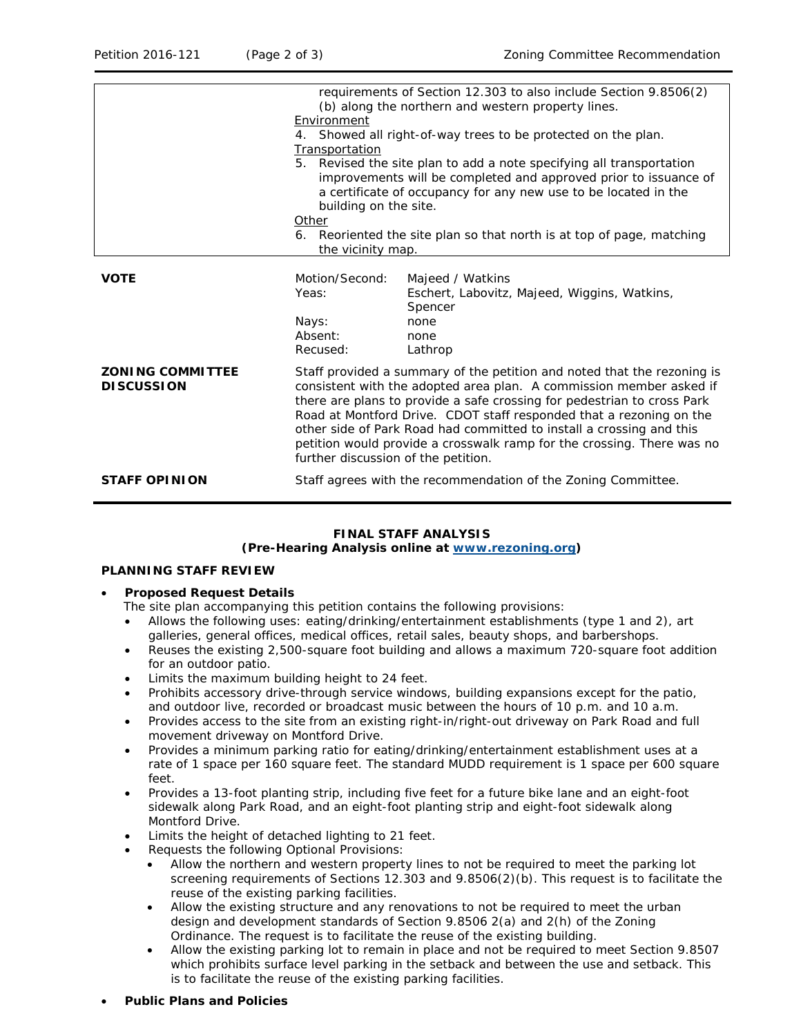|                                              | requirements of Section 12.303 to also include Section 9.8506(2)<br>(b) along the northern and western property lines.<br>Environment<br>4. Showed all right-of-way trees to be protected on the plan.<br>Transportation<br>5. Revised the site plan to add a note specifying all transportation<br>improvements will be completed and approved prior to issuance of<br>a certificate of occupancy for any new use to be located in the<br>building on the site.<br>Other<br>6. Reoriented the site plan so that north is at top of page, matching<br>the vicinity map. |                                                                                                        |
|----------------------------------------------|-------------------------------------------------------------------------------------------------------------------------------------------------------------------------------------------------------------------------------------------------------------------------------------------------------------------------------------------------------------------------------------------------------------------------------------------------------------------------------------------------------------------------------------------------------------------------|--------------------------------------------------------------------------------------------------------|
| <b>VOTE</b>                                  | Motion/Second:<br>Yeas:<br>Nays:<br>Absent:<br>Recused:                                                                                                                                                                                                                                                                                                                                                                                                                                                                                                                 | Majeed / Watkins<br>Eschert, Labovitz, Majeed, Wiggins, Watkins,<br>Spencer<br>none<br>none<br>Lathrop |
| <b>ZONING COMMITTEE</b><br><b>DISCUSSION</b> | Staff provided a summary of the petition and noted that the rezoning is<br>consistent with the adopted area plan. A commission member asked if<br>there are plans to provide a safe crossing for pedestrian to cross Park<br>Road at Montford Drive. CDOT staff responded that a rezoning on the<br>other side of Park Road had committed to install a crossing and this<br>petition would provide a crosswalk ramp for the crossing. There was no<br>further discussion of the petition.                                                                               |                                                                                                        |
| <b>STAFF OPINION</b>                         | Staff agrees with the recommendation of the Zoning Committee.                                                                                                                                                                                                                                                                                                                                                                                                                                                                                                           |                                                                                                        |

# **FINAL STAFF ANALYSIS**

## **(Pre-Hearing Analysis online at [www.rezoning.org\)](http://www.rezoning.org/)**

#### **PLANNING STAFF REVIEW**

#### • **Proposed Request Details**

The site plan accompanying this petition contains the following provisions:

- Allows the following uses: eating/drinking/entertainment establishments (type 1 and 2), art galleries, general offices, medical offices, retail sales, beauty shops, and barbershops.
- Reuses the existing 2,500-square foot building and allows a maximum 720-square foot addition for an outdoor patio.
- Limits the maximum building height to 24 feet.
- Prohibits accessory drive-through service windows, building expansions except for the patio, and outdoor live, recorded or broadcast music between the hours of 10 p.m. and 10 a.m.
- Provides access to the site from an existing right-in/right-out driveway on Park Road and full movement driveway on Montford Drive.
- Provides a minimum parking ratio for eating/drinking/entertainment establishment uses at a rate of 1 space per 160 square feet. The standard MUDD requirement is 1 space per 600 square feet.
- Provides a 13-foot planting strip, including five feet for a future bike lane and an eight-foot sidewalk along Park Road, and an eight-foot planting strip and eight-foot sidewalk along Montford Drive.
- Limits the height of detached lighting to 21 feet.
- Requests the following Optional Provisions:
	- Allow the northern and western property lines to not be required to meet the parking lot screening requirements of Sections 12.303 and 9.8506(2)(b). This request is to facilitate the reuse of the existing parking facilities.
	- Allow the existing structure and any renovations to not be required to meet the urban design and development standards of Section 9.8506 2(a) and 2(h) of the Zoning Ordinance. The request is to facilitate the reuse of the existing building.
	- Allow the existing parking lot to remain in place and not be required to meet Section 9.8507 which prohibits surface level parking in the setback and between the use and setback. This is to facilitate the reuse of the existing parking facilities.
- **Public Plans and Policies**